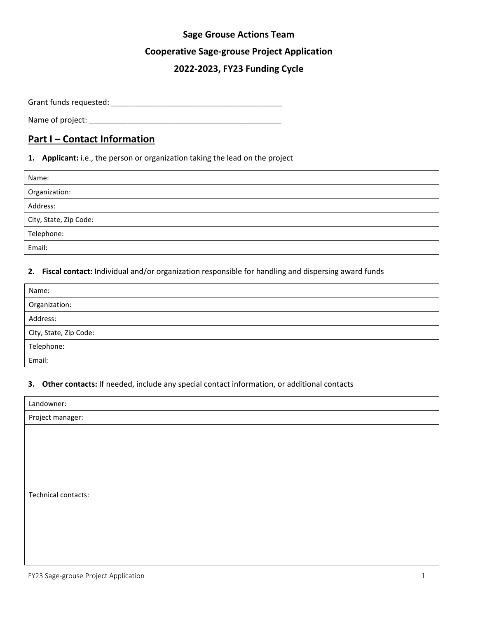## **Sage Grouse Actions Team**

### **Cooperative Sage-grouse Project Application**

## **2022-2023, FY23 Funding Cycle**

Grant funds requested: \_\_\_\_\_\_\_\_\_\_\_\_\_\_\_\_\_\_\_\_\_\_\_\_\_\_\_\_\_\_\_\_\_\_\_\_\_\_\_\_

Name of project: \_\_\_\_\_\_\_\_\_\_\_\_\_\_\_\_\_\_\_\_\_\_\_\_\_\_\_\_\_\_\_\_\_\_\_\_\_\_\_\_\_\_\_\_\_

# **Part I – Contact Information**

#### **1. Applicant:** i.e., the person or organization taking the lead on the project

| Name:                  |  |
|------------------------|--|
| Organization:          |  |
| Address:               |  |
| City, State, Zip Code: |  |
| Telephone:             |  |
| Email:                 |  |

### **2. Fiscal contact:** Individual and/or organization responsible for handling and dispersing award funds

| Name:                  |  |
|------------------------|--|
| Organization:          |  |
| Address:               |  |
| City, State, Zip Code: |  |
| Telephone:             |  |
| Email:                 |  |

#### **3. Other contacts:** If needed, include any special contact information, or additional contacts

| Landowner:          |  |
|---------------------|--|
| Project manager:    |  |
| Technical contacts: |  |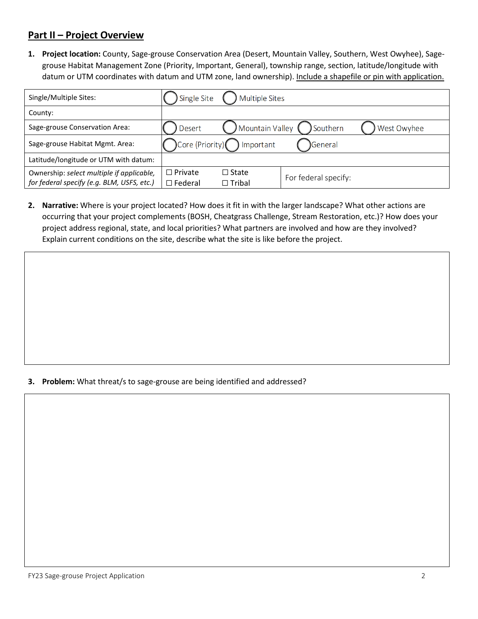# **Part II – Project Overview**

**1. Project location:** County, Sage-grouse Conservation Area (Desert, Mountain Valley, Southern, West Owyhee), Sagegrouse Habitat Management Zone (Priority, Important, General), township range, section, latitude/longitude with datum or UTM coordinates with datum and UTM zone, land ownership). Include a shapefile or pin with application.

| Single/Multiple Sites:                                                                  | Single Site<br><b>Multiple Sites</b> |                               |                      |             |
|-----------------------------------------------------------------------------------------|--------------------------------------|-------------------------------|----------------------|-------------|
| County:                                                                                 |                                      |                               |                      |             |
| Sage-grouse Conservation Area:                                                          | Desert                               | Mountain Valley               | Southern             | West Owyhee |
| Sage-grouse Habitat Mgmt. Area:                                                         |                                      | Core (Priority) mportant      | General              |             |
| Latitude/longitude or UTM with datum:                                                   |                                      |                               |                      |             |
| Ownership: select multiple if applicable,<br>for federal specify (e.g. BLM, USFS, etc.) | $\Box$ Private<br>$\Box$ Federal     | $\Box$ State<br>$\Box$ Tribal | For federal specify: |             |

**2. Narrative:** Where is your project located? How does it fit in with the larger landscape? What other actions are occurring that your project complements (BOSH, Cheatgrass Challenge, Stream Restoration, etc.)? How does your project address regional, state, and local priorities? What partners are involved and how are they involved? Explain current conditions on the site, describe what the site is like before the project.

**3. Problem:** What threat/s to sage-grouse are being identified and addressed?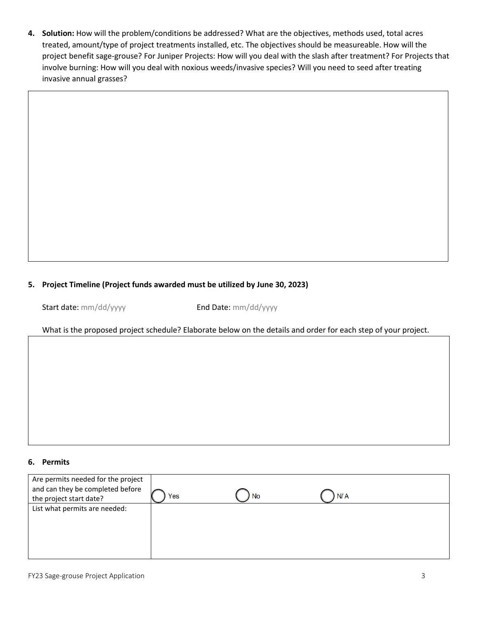**4. Solution:** How will the problem/conditions be addressed? What are the objectives, methods used, total acres treated, amount/type of project treatments installed, etc. The objectives should be measureable. How will the project benefit sage-grouse? For Juniper Projects: How will you deal with the slash after treatment? For Projects that involve burning: How will you deal with noxious weeds/invasive species? Will you need to seed after treating invasive annual grasses?

### **5. Project Timeline (Project funds awarded must be utilized by June 30, 2023)**

Start date: mm/dd/yyyy End Date: mm/dd/yyyy

What is the proposed project schedule? Elaborate below on the details and order for each step of your project.

#### **6. Permits**

| Are permits needed for the project<br>and can they be completed before<br>the project start date? | Yes | <b>No</b> | N/A |
|---------------------------------------------------------------------------------------------------|-----|-----------|-----|
| List what permits are needed:                                                                     |     |           |     |
|                                                                                                   |     |           |     |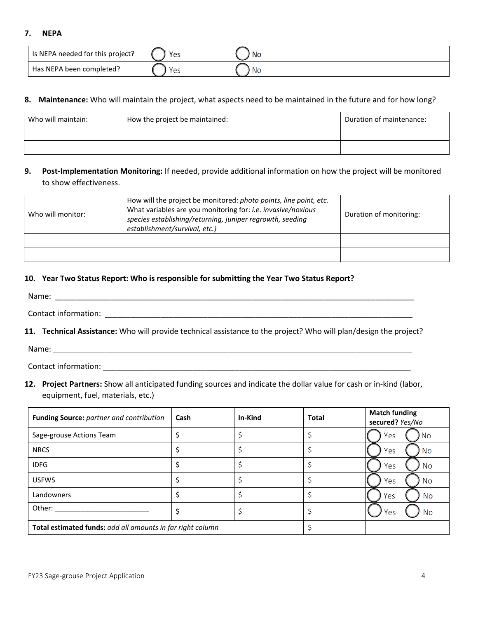#### **7. NEPA**

| Is NEPA needed for this project? | Yes | No   |
|----------------------------------|-----|------|
| Has NEPA been completed?         | Yes | ' No |

#### **8. Maintenance:** Who will maintain the project, what aspects need to be maintained in the future and for how long?

| Who will maintain: | How the project be maintained: | Duration of maintenance: |
|--------------------|--------------------------------|--------------------------|
|                    |                                |                          |
|                    |                                |                          |

### **9. Post-Implementation Monitoring:** If needed, provide additional information on how the project will be monitored to show effectiveness.

| Who will monitor: | How will the project be monitored: photo points, line point, etc.<br>What variables are you monitoring for: i.e. invasive/noxious<br>species establishing/returning, juniper regrowth, seeding<br>establishment/survival, etc.) | Duration of monitoring: |
|-------------------|---------------------------------------------------------------------------------------------------------------------------------------------------------------------------------------------------------------------------------|-------------------------|
|                   |                                                                                                                                                                                                                                 |                         |
|                   |                                                                                                                                                                                                                                 |                         |

#### **10. Year Two Status Report: Who is responsible for submitting the Year Two Status Report?**

| Name:                |                                                                                                                |
|----------------------|----------------------------------------------------------------------------------------------------------------|
| Contact information: |                                                                                                                |
|                      | 11 Technical Accidences Who will was ided to design contained to the maximal Who will also labeled the musical |

**11. Technical Assistance:** Who will provide technical assistance to the project? Who will plan/design the project?

Name: \_\_\_\_\_\_\_\_\_\_\_\_\_\_\_\_\_\_\_\_\_\_\_\_\_\_\_\_\_\_\_\_\_\_\_\_\_\_\_\_\_\_\_\_\_\_\_\_\_\_\_\_\_\_\_\_\_\_\_\_\_\_\_\_\_\_\_\_\_\_\_\_\_\_\_\_\_\_\_\_\_\_\_\_

Contact information: \_\_\_\_\_\_\_\_\_\_\_\_\_\_\_\_\_\_\_\_\_\_\_\_\_\_\_\_\_\_\_\_\_\_\_\_\_\_\_\_\_\_\_\_\_\_\_\_\_\_\_\_\_\_\_\_\_\_\_\_\_\_\_\_\_\_\_\_\_\_\_\_

**12. Project Partners:** Show all anticipated funding sources and indicate the dollar value for cash or in-kind (labor, equipment, fuel, materials, etc.)

| Funding Source: partner and contribution                   | Cash | In-Kind | Total | <b>Match funding</b><br>secured? Yes/No |
|------------------------------------------------------------|------|---------|-------|-----------------------------------------|
| Sage-grouse Actions Team                                   |      |         |       | No<br>Yes                               |
| <b>NRCS</b>                                                |      |         |       | No<br>Yes                               |
| <b>IDFG</b>                                                |      |         |       | No<br>Yes                               |
| <b>USFWS</b>                                               |      |         |       | Yes<br>No                               |
| Landowners                                                 |      |         |       | <b>No</b><br>Yes                        |
| Other:                                                     |      |         |       | Yes<br>-No                              |
| Total estimated funds: add all amounts in far right column |      |         |       |                                         |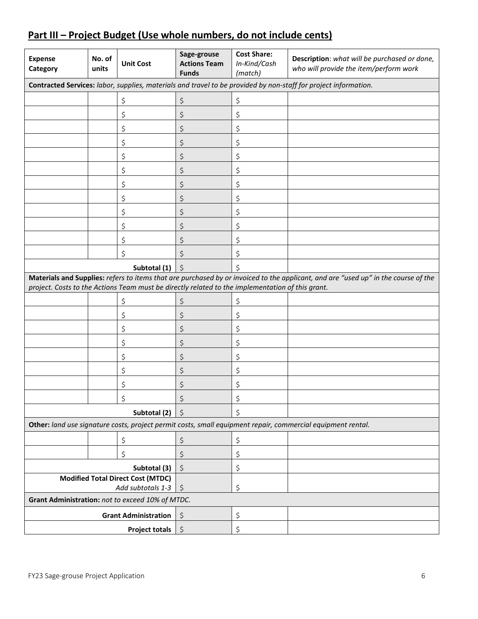| <b>Expense</b><br>Category                                                                                      | No. of<br>units | <b>Unit Cost</b>                                              | Sage-grouse<br><b>Actions Team</b><br><b>Funds</b> | <b>Cost Share:</b><br>In-Kind/Cash<br>(match) | Description: what will be purchased or done,<br>who will provide the item/perform work                                             |  |
|-----------------------------------------------------------------------------------------------------------------|-----------------|---------------------------------------------------------------|----------------------------------------------------|-----------------------------------------------|------------------------------------------------------------------------------------------------------------------------------------|--|
| Contracted Services: labor, supplies, materials and travel to be provided by non-staff for project information. |                 |                                                               |                                                    |                                               |                                                                                                                                    |  |
|                                                                                                                 |                 | \$                                                            | \$                                                 | Ş                                             |                                                                                                                                    |  |
|                                                                                                                 |                 | \$                                                            | \$                                                 | \$                                            |                                                                                                                                    |  |
|                                                                                                                 |                 | \$                                                            | \$                                                 | \$                                            |                                                                                                                                    |  |
|                                                                                                                 |                 | \$                                                            | \$                                                 | \$                                            |                                                                                                                                    |  |
|                                                                                                                 |                 | \$                                                            | \$                                                 | \$                                            |                                                                                                                                    |  |
|                                                                                                                 |                 | \$                                                            | \$                                                 | \$                                            |                                                                                                                                    |  |
|                                                                                                                 |                 | \$                                                            | $\zeta$                                            | \$                                            |                                                                                                                                    |  |
|                                                                                                                 |                 | \$                                                            | \$                                                 | \$                                            |                                                                                                                                    |  |
|                                                                                                                 |                 | \$                                                            | \$                                                 | \$                                            |                                                                                                                                    |  |
|                                                                                                                 |                 | \$                                                            | \$                                                 | \$                                            |                                                                                                                                    |  |
|                                                                                                                 |                 | \$                                                            | \$                                                 | \$                                            |                                                                                                                                    |  |
|                                                                                                                 |                 | \$                                                            | \$                                                 | Ş                                             |                                                                                                                                    |  |
| Subtotal (1)                                                                                                    |                 |                                                               | $\zeta$                                            | \$                                            |                                                                                                                                    |  |
| project. Costs to the Actions Team must be directly related to the implementation of this grant.                |                 |                                                               |                                                    |                                               | Materials and Supplies: refers to items that are purchased by or invoiced to the applicant, and are "used up" in the course of the |  |
|                                                                                                                 |                 | \$                                                            | \$                                                 | \$                                            |                                                                                                                                    |  |
|                                                                                                                 |                 | \$                                                            | \$                                                 | \$                                            |                                                                                                                                    |  |
|                                                                                                                 |                 | \$                                                            | \$                                                 | \$                                            |                                                                                                                                    |  |
|                                                                                                                 |                 | \$                                                            | \$                                                 | \$                                            |                                                                                                                                    |  |
|                                                                                                                 |                 | \$                                                            | \$                                                 | \$                                            |                                                                                                                                    |  |
|                                                                                                                 |                 | \$                                                            | \$                                                 | \$                                            |                                                                                                                                    |  |
|                                                                                                                 |                 | \$                                                            |                                                    | Ş                                             |                                                                                                                                    |  |
|                                                                                                                 |                 |                                                               |                                                    |                                               |                                                                                                                                    |  |
|                                                                                                                 |                 | Subtotal (2)                                                  | $\zeta$                                            | \$                                            |                                                                                                                                    |  |
|                                                                                                                 |                 |                                                               |                                                    |                                               | Other: land use signature costs, project permit costs, small equipment repair, commercial equipment rental.                        |  |
|                                                                                                                 |                 | \$                                                            | \$                                                 | \$                                            |                                                                                                                                    |  |
|                                                                                                                 |                 | \$                                                            | \$                                                 | \$                                            |                                                                                                                                    |  |
| Subtotal (3)                                                                                                    |                 |                                                               | \$                                                 | \$                                            |                                                                                                                                    |  |
|                                                                                                                 |                 | <b>Modified Total Direct Cost (MTDC)</b><br>Add subtotals 1-3 | \$                                                 | \$                                            |                                                                                                                                    |  |
| Grant Administration: not to exceed 10% of MTDC.                                                                |                 |                                                               |                                                    |                                               |                                                                                                                                    |  |
|                                                                                                                 |                 | <b>Grant Administration</b>                                   | $\boldsymbol{\zeta}$                               | \$                                            |                                                                                                                                    |  |
| <b>Project totals</b>                                                                                           |                 |                                                               | \$                                                 | \$                                            |                                                                                                                                    |  |

# **Part III – Project Budget (Use whole numbers, do not include cents)**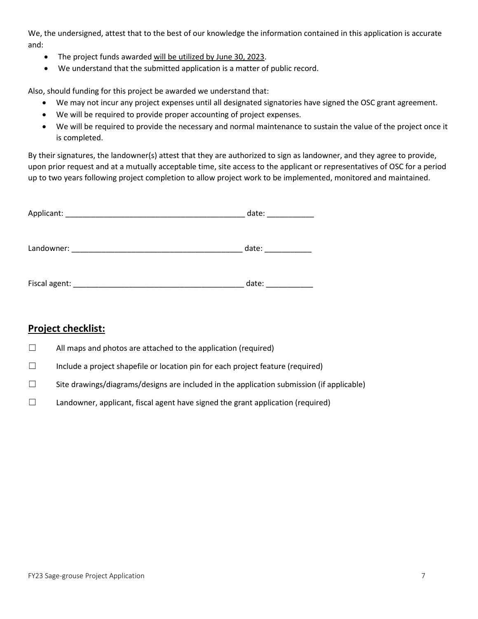We, the undersigned, attest that to the best of our knowledge the information contained in this application is accurate and:

- The project funds awarded will be utilized by June 30, 2023.
- We understand that the submitted application is a matter of public record.

Also, should funding for this project be awarded we understand that:

- We may not incur any project expenses until all designated signatories have signed the OSC grant agreement.
- We will be required to provide proper accounting of project expenses.
- We will be required to provide the necessary and normal maintenance to sustain the value of the project once it is completed.

By their signatures, the landowner(s) attest that they are authorized to sign as landowner, and they agree to provide, upon prior request and at a mutually acceptable time, site access to the applicant or representatives of OSC for a period up to two years following project completion to allow project work to be implemented, monitored and maintained.

| Applicant:    | date: |
|---------------|-------|
|               |       |
| Landowner:    | date: |
|               |       |
| Fiscal agent: | date: |

# **Project checklist:**

- $\Box$  All maps and photos are attached to the application (required)
- ☐ Include a project shapefile or location pin for each project feature (required)
- ☐ Site drawings/diagrams/designs are included in the application submission (if applicable)
- $\Box$  Landowner, applicant, fiscal agent have signed the grant application (required)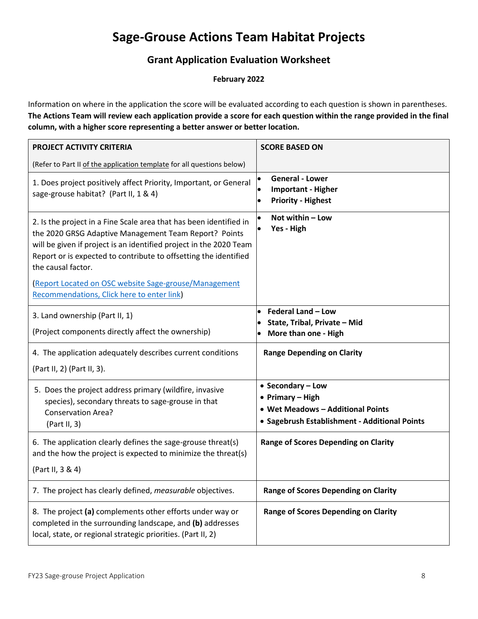# **Sage-Grouse Actions Team Habitat Projects**

# **Grant Application Evaluation Worksheet**

**February 2022** 

Information on where in the application the score will be evaluated according to each question is shown in parentheses. **The Actions Team will review each application provide a score for each question within the range provided in the final column, with a higher score representing a better answer or better location.**

| PROJECT ACTIVITY CRITERIA                                                                                                                                                                                                                                                                                                                           | <b>SCORE BASED ON</b>                                                                                                       |
|-----------------------------------------------------------------------------------------------------------------------------------------------------------------------------------------------------------------------------------------------------------------------------------------------------------------------------------------------------|-----------------------------------------------------------------------------------------------------------------------------|
| (Refer to Part II of the application template for all questions below)                                                                                                                                                                                                                                                                              |                                                                                                                             |
| 1. Does project positively affect Priority, Important, or General<br>sage-grouse habitat? (Part II, 1 & 4)                                                                                                                                                                                                                                          | <b>General - Lower</b><br><b>Important - Higher</b><br>$\bullet$<br><b>Priority - Highest</b>                               |
| 2. Is the project in a Fine Scale area that has been identified in<br>the 2020 GRSG Adaptive Management Team Report? Points<br>will be given if project is an identified project in the 2020 Team<br>Report or is expected to contribute to offsetting the identified<br>the causal factor.<br>Report Located on OSC website Sage-grouse/Management | Not within - Low<br>Yes - High                                                                                              |
| <b>Recommendations, Click here to enter link)</b>                                                                                                                                                                                                                                                                                                   |                                                                                                                             |
| 3. Land ownership (Part II, 1)                                                                                                                                                                                                                                                                                                                      | <b>Federal Land - Low</b><br>State, Tribal, Private - Mid                                                                   |
| (Project components directly affect the ownership)                                                                                                                                                                                                                                                                                                  | More than one - High                                                                                                        |
| 4. The application adequately describes current conditions                                                                                                                                                                                                                                                                                          | <b>Range Depending on Clarity</b>                                                                                           |
| (Part II, 2) (Part II, 3).                                                                                                                                                                                                                                                                                                                          |                                                                                                                             |
| 5. Does the project address primary (wildfire, invasive<br>species), secondary threats to sage-grouse in that<br><b>Conservation Area?</b><br>(Part II, 3)                                                                                                                                                                                          | • Secondary - Low<br>• Primary - High<br>• Wet Meadows - Additional Points<br>• Sagebrush Establishment - Additional Points |
| 6. The application clearly defines the sage-grouse threat(s)<br>and the how the project is expected to minimize the threat(s)                                                                                                                                                                                                                       | <b>Range of Scores Depending on Clarity</b>                                                                                 |
| (Part II, 3 & 4)                                                                                                                                                                                                                                                                                                                                    |                                                                                                                             |
| 7. The project has clearly defined, measurable objectives.                                                                                                                                                                                                                                                                                          | <b>Range of Scores Depending on Clarity</b>                                                                                 |
| 8. The project (a) complements other efforts under way or<br>completed in the surrounding landscape, and (b) addresses<br>local, state, or regional strategic priorities. (Part II, 2)                                                                                                                                                              | <b>Range of Scores Depending on Clarity</b>                                                                                 |